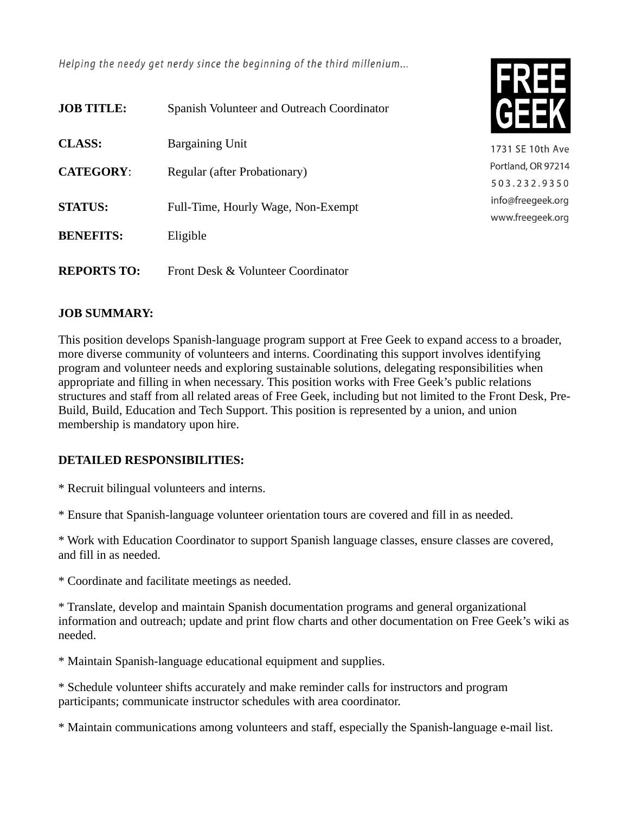Helping the needy get nerdy since the beginning of the third millenium...

| <b>JOB TITLE:</b>  | Spanish Volunteer and Outreach Coordinator |
|--------------------|--------------------------------------------|
| CLASS:             | <b>Bargaining Unit</b>                     |
| <b>CATEGORY:</b>   | Regular (after Probationary)               |
| <b>STATUS:</b>     | Full-Time, Hourly Wage, Non-Exempt         |
| <b>BENEFITS:</b>   | Eligible                                   |
| <b>REPORTS TO:</b> | Front Desk & Volunteer Coordinator         |



1731 SE 10th Ave Portland, OR 97214 503.232.9350 info@freegeek.org www.freegeek.org

## **JOB SUMMARY:**

This position develops Spanish-language program support at Free Geek to expand access to a broader, more diverse community of volunteers and interns. Coordinating this support involves identifying program and volunteer needs and exploring sustainable solutions, delegating responsibilities when appropriate and filling in when necessary. This position works with Free Geek's public relations structures and staff from all related areas of Free Geek, including but not limited to the Front Desk, Pre-Build, Build, Education and Tech Support. This position is represented by a union, and union membership is mandatory upon hire.

## **DETAILED RESPONSIBILITIES:**

\* Recruit bilingual volunteers and interns.

\* Ensure that Spanish-language volunteer orientation tours are covered and fill in as needed.

\* Work with Education Coordinator to support Spanish language classes, ensure classes are covered, and fill in as needed.

\* Coordinate and facilitate meetings as needed.

\* Translate, develop and maintain Spanish documentation programs and general organizational information and outreach; update and print flow charts and other documentation on Free Geek's wiki as needed.

\* Maintain Spanish-language educational equipment and supplies.

\* Schedule volunteer shifts accurately and make reminder calls for instructors and program participants; communicate instructor schedules with area coordinator.

\* Maintain communications among volunteers and staff, especially the Spanish-language e-mail list.